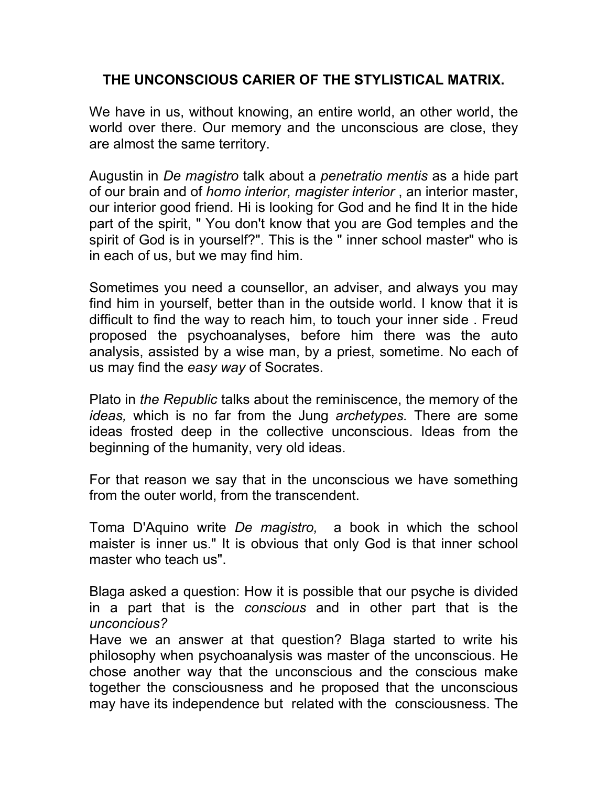## **THE UNCONSCIOUS CARIER OF THE STYLISTICAL MATRIX.**

We have in us, without knowing, an entire world, an other world, the world over there. Our memory and the unconscious are close, they are almost the same territory.

Augustin in *De magistro* talk about a *penetratio mentis* as a hide part of our brain and of *homo interior, magister interior* , an interior master, our interior good friend*.* Hi is looking for God and he find It in the hide part of the spirit, " You don't know that you are God temples and the spirit of God is in yourself?". This is the " inner school master" who is in each of us, but we may find him.

Sometimes you need a counsellor, an adviser, and always you may find him in yourself, better than in the outside world. I know that it is difficult to find the way to reach him, to touch your inner side . Freud proposed the psychoanalyses, before him there was the auto analysis, assisted by a wise man, by a priest, sometime. No each of us may find the *easy way* of Socrates.

Plato in *the Republic* talks about the reminiscence, the memory of the *ideas,* which is no far from the Jung *archetypes.* There are some ideas frosted deep in the collective unconscious. Ideas from the beginning of the humanity, very old ideas.

For that reason we say that in the unconscious we have something from the outer world, from the transcendent.

Toma D'Aquino write *De magistro,* a book in which the school maister is inner us." It is obvious that only God is that inner school master who teach us".

Blaga asked a question: How it is possible that our psyche is divided in a part that is the *conscious* and in other part that is the *unconcious?* 

Have we an answer at that question? Blaga started to write his philosophy when psychoanalysis was master of the unconscious. He chose another way that the unconscious and the conscious make together the consciousness and he proposed that the unconscious may have its independence but related with the consciousness. The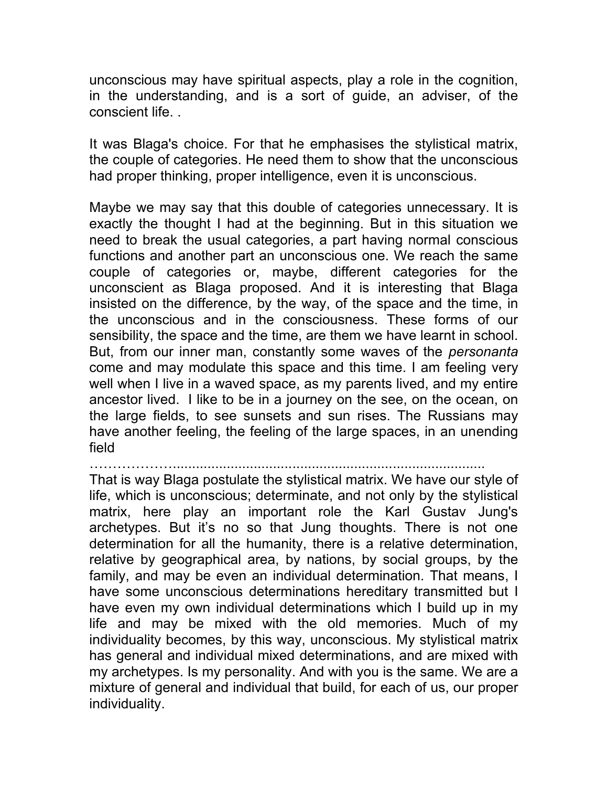unconscious may have spiritual aspects, play a role in the cognition, in the understanding, and is a sort of guide, an adviser, of the conscient life. .

It was Blaga's choice. For that he emphasises the stylistical matrix, the couple of categories. He need them to show that the unconscious had proper thinking, proper intelligence, even it is unconscious.

Maybe we may say that this double of categories unnecessary. It is exactly the thought I had at the beginning. But in this situation we need to break the usual categories, a part having normal conscious functions and another part an unconscious one. We reach the same couple of categories or, maybe, different categories for the unconscient as Blaga proposed. And it is interesting that Blaga insisted on the difference, by the way, of the space and the time, in the unconscious and in the consciousness. These forms of our sensibility, the space and the time, are them we have learnt in school. But, from our inner man, constantly some waves of the *personanta*  come and may modulate this space and this time. I am feeling very well when I live in a waved space, as my parents lived, and my entire ancestor lived. I like to be in a journey on the see, on the ocean, on the large fields, to see sunsets and sun rises. The Russians may have another feeling, the feeling of the large spaces, in an unending field

……………….................................................................................

That is way Blaga postulate the stylistical matrix. We have our style of life, which is unconscious; determinate, and not only by the stylistical matrix, here play an important role the Karl Gustav Jung's archetypes. But it's no so that Jung thoughts. There is not one determination for all the humanity, there is a relative determination, relative by geographical area, by nations, by social groups, by the family, and may be even an individual determination. That means, I have some unconscious determinations hereditary transmitted but I have even my own individual determinations which I build up in my life and may be mixed with the old memories. Much of my individuality becomes, by this way, unconscious. My stylistical matrix has general and individual mixed determinations, and are mixed with my archetypes. Is my personality. And with you is the same. We are a mixture of general and individual that build, for each of us, our proper individuality.